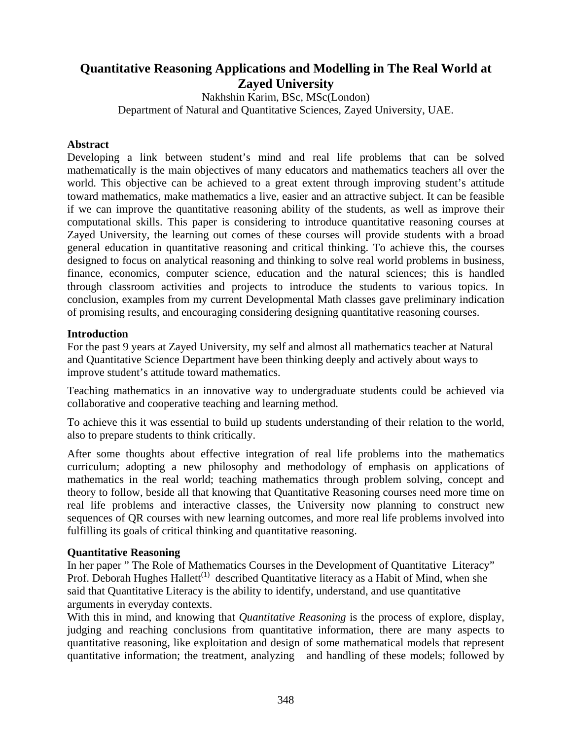# **Quantitative Reasoning Applications and Modelling in The Real World at Zayed University**

Nakhshin Karim, BSc, MSc(London) Department of Natural and Quantitative Sciences, Zayed University, UAE.

### **Abstract**

Developing a link between student's mind and real life problems that can be solved mathematically is the main objectives of many educators and mathematics teachers all over the world. This objective can be achieved to a great extent through improving student's attitude toward mathematics, make mathematics a live, easier and an attractive subject. It can be feasible if we can improve the quantitative reasoning ability of the students, as well as improve their computational skills. This paper is considering to introduce quantitative reasoning courses at Zayed University, the learning out comes of these courses will provide students with a broad general education in quantitative reasoning and critical thinking. To achieve this, the courses designed to focus on analytical reasoning and thinking to solve real world problems in business, finance, economics, computer science, education and the natural sciences; this is handled through classroom activities and projects to introduce the students to various topics. In conclusion, examples from my current Developmental Math classes gave preliminary indication of promising results, and encouraging considering designing quantitative reasoning courses.

### **Introduction**

For the past 9 years at Zayed University, my self and almost all mathematics teacher at Natural and Quantitative Science Department have been thinking deeply and actively about ways to improve student's attitude toward mathematics.

Teaching mathematics in an innovative way to undergraduate students could be achieved via collaborative and cooperative teaching and learning method.

To achieve this it was essential to build up students understanding of their relation to the world, also to prepare students to think critically.

After some thoughts about effective integration of real life problems into the mathematics curriculum; adopting a new philosophy and methodology of emphasis on applications of mathematics in the real world; teaching mathematics through problem solving, concept and theory to follow, beside all that knowing that Quantitative Reasoning courses need more time on real life problems and interactive classes, the University now planning to construct new sequences of QR courses with new learning outcomes, and more real life problems involved into fulfilling its goals of critical thinking and quantitative reasoning.

# **Quantitative Reasoning**

In her paper " The Role of Mathematics Courses in the Development of Quantitative Literacy" Prof. Deborah Hughes Hallett<sup>(1)</sup> described Quantitative literacy as a Habit of Mind, when she said that Quantitative Literacy is the ability to identify, understand, and use quantitative arguments in everyday contexts.

With this in mind, and knowing that *Quantitative Reasoning* is the process of explore, display, judging and reaching conclusions from quantitative information, there are many aspects to quantitative reasoning, like exploitation and design of some mathematical models that represent quantitative information; the treatment, analyzing and handling of these models; followed by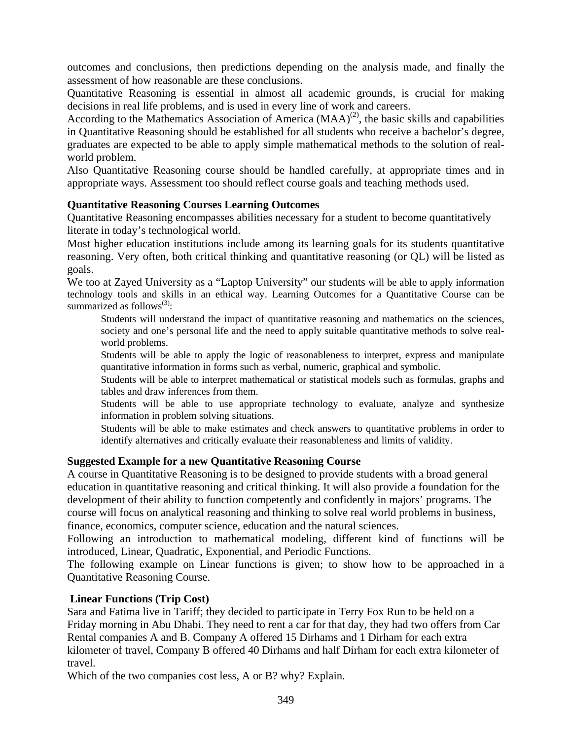outcomes and conclusions, then predictions depending on the analysis made, and finally the assessment of how reasonable are these conclusions.

Quantitative Reasoning is essential in almost all academic grounds, is crucial for making decisions in real life problems, and is used in every line of work and careers.

According to the Mathematics Association of America  $(MAA)^{(2)}$ , the basic skills and capabilities in Quantitative Reasoning should be established for all students who receive a bachelor's degree, graduates are expected to be able to apply simple mathematical methods to the solution of realworld problem.

Also Quantitative Reasoning course should be handled carefully, at appropriate times and in appropriate ways. Assessment too should reflect course goals and teaching methods used.

# **Quantitative Reasoning Courses Learning Outcomes**

Quantitative Reasoning encompasses abilities necessary for a student to become quantitatively literate in today's technological world.

Most higher education institutions include among its learning goals for its students quantitative reasoning. Very often, both critical thinking and quantitative reasoning (or QL) will be listed as goals.

We too at Zayed University as a "Laptop University" our students will be able to apply information technology tools and skills in an ethical way. Learning Outcomes for a Quantitative Course can be summarized as follows $^{(3)}$ :

Students will understand the impact of quantitative reasoning and mathematics on the sciences, society and one's personal life and the need to apply suitable quantitative methods to solve realworld problems.

Students will be able to apply the logic of reasonableness to interpret, express and manipulate quantitative information in forms such as verbal, numeric, graphical and symbolic.

Students will be able to interpret mathematical or statistical models such as formulas, graphs and tables and draw inferences from them.

Students will be able to use appropriate technology to evaluate, analyze and synthesize information in problem solving situations.

Students will be able to make estimates and check answers to quantitative problems in order to identify alternatives and critically evaluate their reasonableness and limits of validity.

# **Suggested Example for a new Quantitative Reasoning Course**

A course in Quantitative Reasoning is to be designed to provide students with a broad general education in quantitative reasoning and critical thinking. It will also provide a foundation for the development of their ability to function competently and confidently in majors' programs. The course will focus on analytical reasoning and thinking to solve real world problems in business, finance, economics, computer science, education and the natural sciences.

Following an introduction to mathematical modeling, different kind of functions will be introduced, Linear, Quadratic, Exponential, and Periodic Functions.

The following example on Linear functions is given; to show how to be approached in a Quantitative Reasoning Course.

# **Linear Functions (Trip Cost)**

Sara and Fatima live in Tariff; they decided to participate in Terry Fox Run to be held on a Friday morning in Abu Dhabi. They need to rent a car for that day, they had two offers from Car Rental companies A and B. Company A offered 15 Dirhams and 1 Dirham for each extra kilometer of travel, Company B offered 40 Dirhams and half Dirham for each extra kilometer of travel.

Which of the two companies cost less, A or B? why? Explain.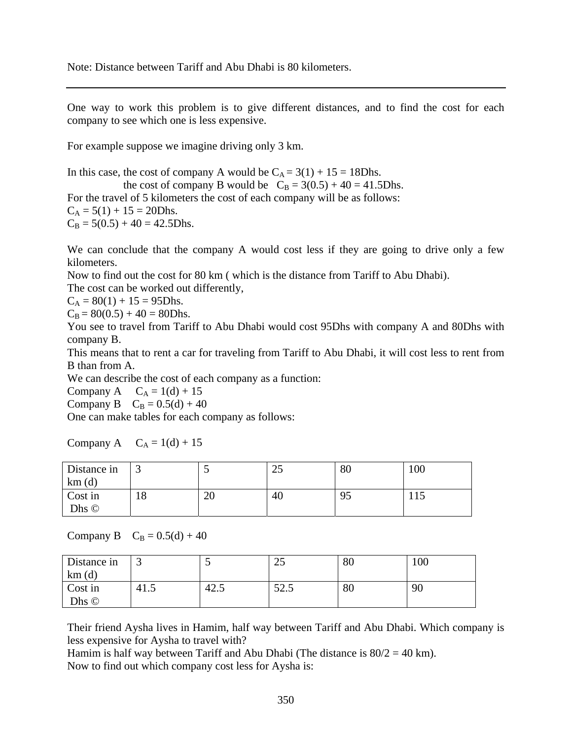Note: Distance between Tariff and Abu Dhabi is 80 kilometers.

One way to work this problem is to give different distances, and to find the cost for each company to see which one is less expensive.

For example suppose we imagine driving only 3 km.

In this case, the cost of company A would be  $C_A = 3(1) + 15 = 18D$ hs. the cost of company B would be  $C_B = 3(0.5) + 40 = 41.5D$ hs. For the travel of 5 kilometers the cost of each company will be as follows:  $C_A = 5(1) + 15 = 20D$ hs.  $C_B = 5(0.5) + 40 = 42.5D$ hs.

We can conclude that the company A would cost less if they are going to drive only a few kilometers.

Now to find out the cost for 80 km ( which is the distance from Tariff to Abu Dhabi). The cost can be worked out differently,

 $C_A = 80(1) + 15 = 95D$ hs.

 $C_B = 80(0.5) + 40 = 80D$ hs.

You see to travel from Tariff to Abu Dhabi would cost 95Dhs with company A and 80Dhs with company B.

This means that to rent a car for traveling from Tariff to Abu Dhabi, it will cost less to rent from B than from A.

We can describe the cost of each company as a function:

Company A  $C_A = 1(d) + 15$ 

Company B  $C_B = 0.5(d) + 40$ 

One can make tables for each company as follows:

Company A  $C_A = 1(d) + 15$ 

| Distance in<br>km(d) | ت        |          | $\bigcap$<br>رے | 80 | 100 |
|----------------------|----------|----------|-----------------|----|-----|
| Cost in<br>Dhs ©     | ∣о<br>10 | or<br>∠∪ | 40              | 95 | 112 |

Company B  $C_B = 0.5(d) + 40$ 

| Distance in | ັ    |      | $\bigcap$<br>رے    | 80 | 100 |
|-------------|------|------|--------------------|----|-----|
| km(d)       |      |      |                    |    |     |
| Cost in     | 41.5 | 42.5 | $\epsilon$<br>ن. ۱ | 80 | 90  |
| Dhs ©       |      |      |                    |    |     |

Their friend Aysha lives in Hamim, half way between Tariff and Abu Dhabi. Which company is less expensive for Aysha to travel with?

Hamim is half way between Tariff and Abu Dhabi (The distance is  $80/2 = 40$  km). Now to find out which company cost less for Aysha is: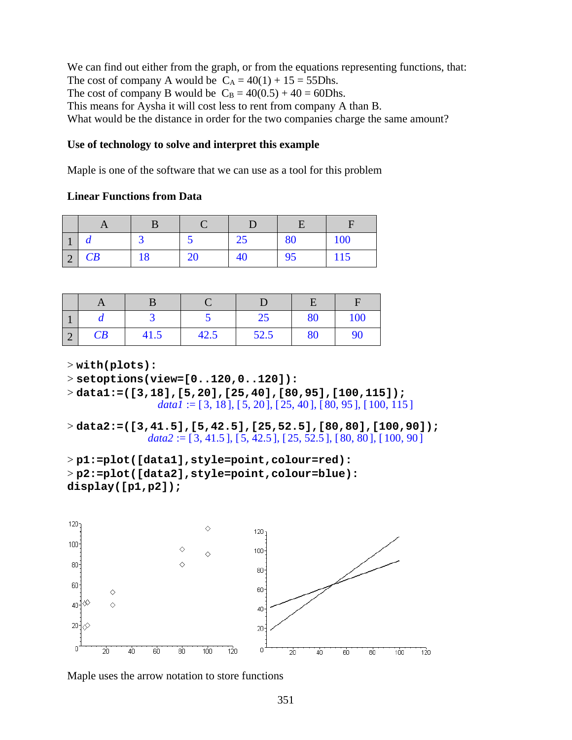We can find out either from the graph, or from the equations representing functions, that: The cost of company A would be  $C_A = 40(1) + 15 = 55D$ hs. The cost of company B would be  $C_B = 40(0.5) + 40 = 60D$ hs. This means for Aysha it will cost less to rent from company A than B. What would be the distance in order for the two companies charge the same amount?

### **Use of technology to solve and interpret this example**

Maple is one of the software that we can use as a tool for this problem

### **Linear Functions from Data**

| ш                                     | u  |    |    | رے | 80 | 100 |
|---------------------------------------|----|----|----|----|----|-----|
| $\bigcap$<br>$\overline{\phantom{0}}$ | CB | 18 | ∠∪ | 40 | 95 | 115 |

|                |    |      |      | $\overline{C}$<br>ر ے | 80 | 100 |
|----------------|----|------|------|-----------------------|----|-----|
| $\bigcap$<br>∠ | CB | 41.5 | 42.5 | 52.5                  | 80 | 90  |

> **with(plots):**

$$
> set options(view=[0..120,0..120]):
$$

> **data1:=([3,18],[5,20],[25,40],[80,95],[100,115]);**  $data1 := [3, 18]$ ,  $[5, 20]$ ,  $[25, 40]$ ,  $[80, 95]$ ,  $[100, 115]$ 

> **data2:=([3,41.5],[5,42.5],[25,52.5],[80,80],[100,90]);**  $data2 := [3, 41.5]$ ,  $[5, 42.5]$ ,  $[25, 52.5]$ ,  $[80, 80]$ ,  $[100, 90]$ 

```
> p1:=plot([data1],style=point,colour=red):
> p2:=plot([data2],style=point,colour=blue): 
display([p1,p2]);
```


Maple uses the arrow notation to store functions